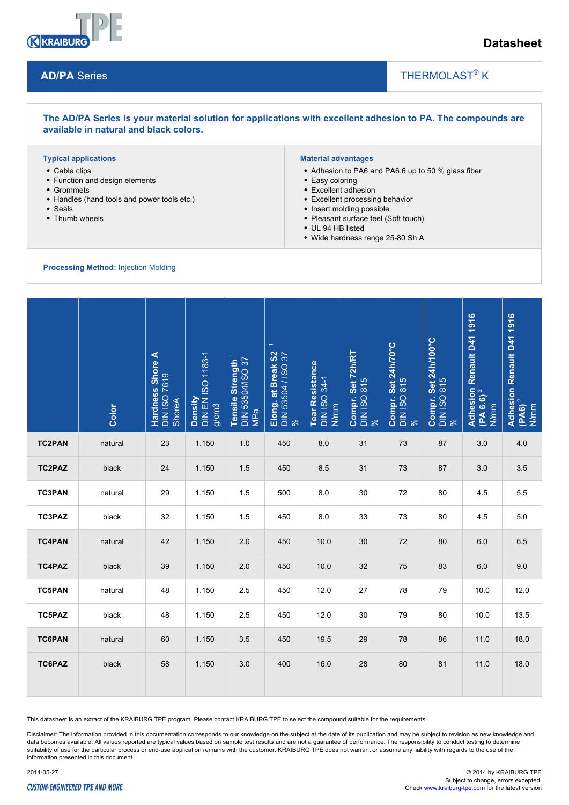

**AD/PA** Series

# **Datasheet**

# THERMOLAST<sup>®</sup> K

#### **The AD/PA Series is your material solution for applications with excellent adhesion to PA. The compounds are available in natural and black colors.**

#### **Typical applications**

- Cable clips
- Function and design elements
- Grommets
- Handles (hand tools and power tools etc.)
- Seals
- Thumb wheels

#### **Material advantages**

• Adhesion to PA6 and PA6.6 up to 50 % glass fiber

 $\overline{\phantom{a}}$ 

- Easy coloring
- Excellent adhesion
- Excellent processing behavior
- Insert molding possible
- Pleasant surface feel (Soft touch)
- UL 94 HB listed
- Wide hardness range 25-80 Sh A

**Processing Method:** Injection Molding

|               | Color   | Hardness Shore A<br><b>DIN ISO 7619</b><br>ShoreA | Density<br>DIN EN ISO 1183-1<br>  g/cm3 | Tensile Strength<br>DIN 53504/ISO 37<br>MPa | $\leftarrow$<br>Elong. at Break S2<br>DIN 53504 / ISO 37<br>% | Tear Resistance<br>DIN ISO 34-1<br>N/mm | Compr. Set 72h/RT<br>DIN ISO 815<br>% | Compr. Set 24h/70°C<br>DIN ISO 815<br>% | Compr. Set 24h/100°C<br>DIN ISO 815<br>% | Adhesion Renault D41 1916<br>(PA 6.6) <sup>2</sup><br>N/mm | Adhesion Renault D41 1916<br>(PA6) <sup>2</sup><br>N/mm |
|---------------|---------|---------------------------------------------------|-----------------------------------------|---------------------------------------------|---------------------------------------------------------------|-----------------------------------------|---------------------------------------|-----------------------------------------|------------------------------------------|------------------------------------------------------------|---------------------------------------------------------|
| <b>TC2PAN</b> | natural | 23                                                | 1.150                                   | 1.0                                         | 450                                                           | 8.0                                     | 31                                    | 73                                      | 87                                       | 3.0                                                        | 4.0                                                     |
| TC2PAZ        | black   | 24                                                | 1.150                                   | 1.5                                         | 450                                                           | 8.5                                     | 31                                    | 73                                      | 87                                       | 3.0                                                        | $3.5\,$                                                 |
| <b>TC3PAN</b> | natural | 29                                                | 1.150                                   | 1.5                                         | 500                                                           | 8.0                                     | 30                                    | 72                                      | 80                                       | 4.5                                                        | 5.5                                                     |
| TC3PAZ        | black   | 32                                                | 1.150                                   | 1.5                                         | 450                                                           | 8.0                                     | 33                                    | 73                                      | 80                                       | 4.5                                                        | 5.0                                                     |
| <b>TC4PAN</b> | natural | 42                                                | 1.150                                   | 2.0                                         | 450                                                           | 10.0                                    | 30                                    | 72                                      | 80                                       | 6.0                                                        | 6.5                                                     |
| <b>TC4PAZ</b> | black   | 39                                                | 1.150                                   | 2.0                                         | 450                                                           | 10.0                                    | 32                                    | 75                                      | 83                                       | 6.0                                                        | 9.0                                                     |
| <b>TC5PAN</b> | natural | 48                                                | 1.150                                   | 2.5                                         | 450                                                           | 12.0                                    | 27                                    | 78                                      | 79                                       | 10.0                                                       | 12.0                                                    |
| TC5PAZ        | black   | 48                                                | 1.150                                   | 2.5                                         | 450                                                           | 12.0                                    | 30                                    | 79                                      | 80                                       | 10.0                                                       | 13.5                                                    |
| <b>TC6PAN</b> | natural | 60                                                | 1.150                                   | 3.5                                         | 450                                                           | 19.5                                    | 29                                    | 78                                      | 86                                       | 11.0                                                       | 18.0                                                    |
| TC6PAZ        | black   | 58                                                | 1.150                                   | 3.0                                         | 400                                                           | 16.0                                    | 28                                    | 80                                      | 81                                       | 11.0                                                       | 18.0                                                    |

This datasheet is an extract of the KRAIBURG TPE program. Please contact KRAIBURG TPE to select the compound suitable for the requirements.

Disclaimer: The information provided in this documentation corresponds to our knowledge on the subject at the date of its publication and may be subject to revision as new knowledge and data becomes available. All values reported are typical values based on sample test results and are not a guarantee of performance. The responsibility to conduct testing to determine suitability of use for the particular process or end-use application remains with the customer. KRAIBURG TPE does not warrant or assume any liability with regards to the use of the information presented in this document.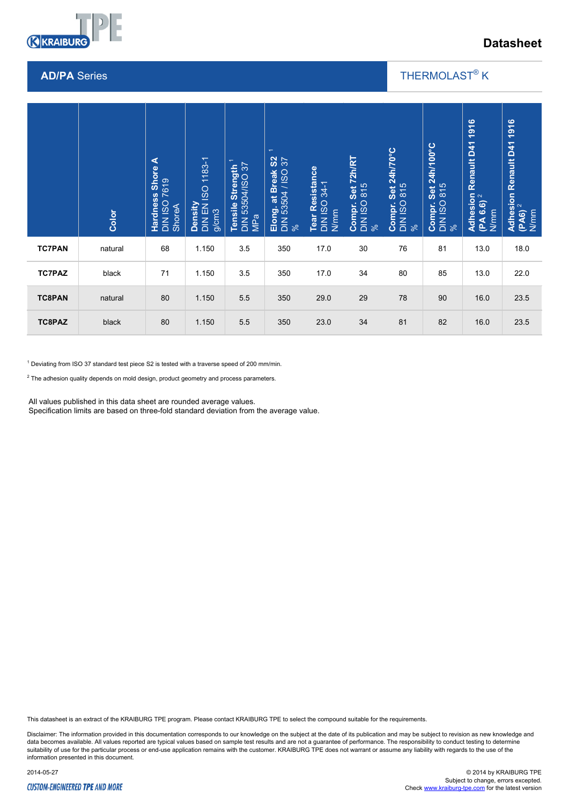

# **Datasheet**

#### **AD/PA** Series

## THERMOLAST<sup>®</sup> K

 $\overline{\phantom{a}}$ 

|                                                                                                                                                                                                                                                                                                                                                                         | Color   | Hardness Shore A<br>DIN ISO 7619<br>ShoreA | Density<br>DIN EN ISO 1183-1<br>g/cm3 | Tensile Strength <sup>1</sup><br>DIN 53504/ISO 37<br>MPa | $\leftarrow$<br>S <sub>2</sub><br>Elong. at Break S2<br>DIN 53504 / ISO 37<br>% | Tear Resistance<br>DIN ISO 34-1<br>N/mm | Compr. Set 72h/RT<br>DIN ISO 815<br>% | Set 24h/70°C<br>815<br>Compr. S<br>DIN ISO 3<br>% | Compr. Set 24h/100°C<br>DIN ISO 815<br>% | 1916<br><b>Adhesion Renault D41</b><br>IDA & &\ <sup>2</sup><br>(PA 6.6)<br>N/mm | Adhesion Renault D41 1916<br>(PA6) <sup>2</sup><br>N/mm |
|-------------------------------------------------------------------------------------------------------------------------------------------------------------------------------------------------------------------------------------------------------------------------------------------------------------------------------------------------------------------------|---------|--------------------------------------------|---------------------------------------|----------------------------------------------------------|---------------------------------------------------------------------------------|-----------------------------------------|---------------------------------------|---------------------------------------------------|------------------------------------------|----------------------------------------------------------------------------------|---------------------------------------------------------|
| <b>TC7PAN</b>                                                                                                                                                                                                                                                                                                                                                           | natural | 68                                         | 1.150                                 | 3.5                                                      | 350                                                                             | 17.0                                    | 30                                    | 76                                                | 81                                       | 13.0                                                                             | 18.0                                                    |
| <b>TC7PAZ</b>                                                                                                                                                                                                                                                                                                                                                           | black   | 71                                         | 1.150                                 | 3.5                                                      | 350                                                                             | 17.0                                    | 34                                    | 80                                                | 85                                       | 13.0                                                                             | 22.0                                                    |
| <b>TC8PAN</b>                                                                                                                                                                                                                                                                                                                                                           | natural | 80                                         | 1.150                                 | 5.5                                                      | 350                                                                             | 29.0                                    | 29                                    | 78                                                | 90                                       | 16.0                                                                             | 23.5                                                    |
| TC8PAZ                                                                                                                                                                                                                                                                                                                                                                  | black   | 80                                         | 1.150                                 | 5.5                                                      | 350                                                                             | 23.0                                    | 34                                    | 81                                                | 82                                       | 16.0                                                                             | 23.5                                                    |
| $1$ Deviating from ISO 37 standard test piece S2 is tested with a traverse speed of 200 mm/min.<br><sup>2</sup> The adhesion quality depends on mold design, product geometry and process parameters.<br>All values published in this data sheet are rounded average values.<br>Specification limits are based on three-fold standard deviation from the average value. |         |                                            |                                       |                                                          |                                                                                 |                                         |                                       |                                                   |                                          |                                                                                  |                                                         |

This datasheet is an extract of the KRAIBURG TPE program. Please contact KRAIBURG TPE to select the compound suitable for the requirements.

Disclaimer: The information provided in this documentation corresponds to our knowledge on the subject at the date of its publication and may be subject to revision as new knowledge and data becomes available. All values reported are typical values based on sample test results and are not a guarantee of performance. The responsibility to conduct testing to determine<br>suitability of use for the particular p information presented in this document.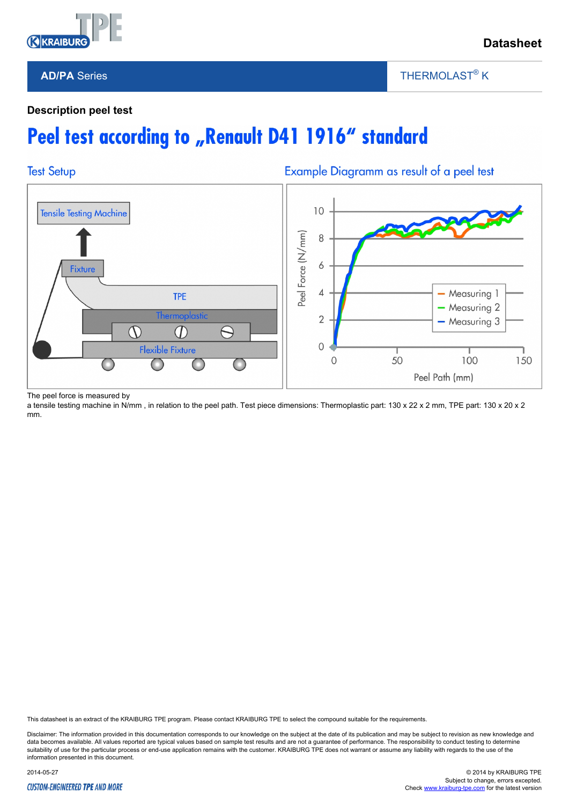

# **Datasheet**

#### **AD/PA** Series

THERMOLAST<sup>®</sup> K

 $\overline{\phantom{a}}$ 

### **Description peel test**

# Peel test according to "Renault D41 1916" standard



The peel force is measured by

a tensile testing machine in N/mm, in relation to the peel path. Test piece dimensions: Thermoplastic part: 130 x 22 x 2 mm, TPE part: 130 x 20 x 2 mm.

This datasheet is an extract of the KRAIBURG TPE program. Please contact KRAIBURG TPE to select the compound suitable for the requirements.

Disclaimer: The information provided in this documentation corresponds to our knowledge on the subject at the date of its publication and may be subject to revision as new knowledge and data becomes available. All values reported are typical values based on sample test results and are not a guarantee of performance. The responsibility to conduct testing to determine suitability of use for the particular process or end-use application remains with the customer. KRAIBURG TPE does not warrant or assume any liability with regards to the use of the information presented in this document.